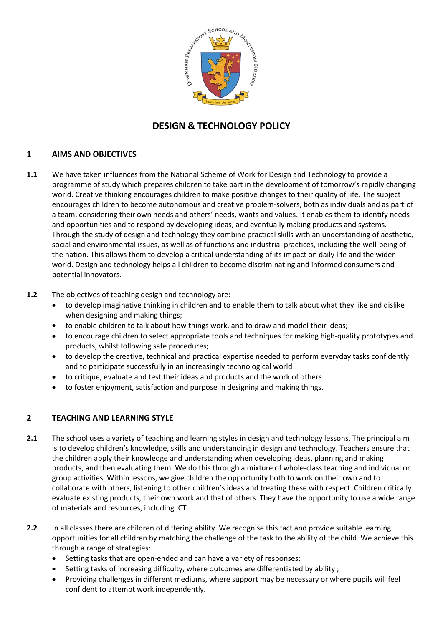

# **DESIGN & TECHNOLOGY POLICY**

## **1 AIMS AND OBJECTIVES**

**1.1** We have taken influences from the National Scheme of Work for Design and Technology to provide a programme of study which prepares children to take part in the development of tomorrow's rapidly changing world. Creative thinking encourages children to make positive changes to their quality of life. The subject encourages children to become autonomous and creative problem-solvers, both as individuals and as part of a team, considering their own needs and others' needs, wants and values. It enables them to identify needs and opportunities and to respond by developing ideas, and eventually making products and systems. Through the study of design and technology they combine practical skills with an understanding of aesthetic, social and environmental issues, as well as of functions and industrial practices, including the well-being of the nation. This allows them to develop a critical understanding of its impact on daily life and the wider world. Design and technology helps all children to become discriminating and informed consumers and potential innovators.

#### **1.2** The objectives of teaching design and technology are:

- to develop imaginative thinking in children and to enable them to talk about what they like and dislike when designing and making things;
- to enable children to talk about how things work, and to draw and model their ideas;
- to encourage children to select appropriate tools and techniques for making high-quality prototypes and products, whilst following safe procedures;
- to develop the creative, technical and practical expertise needed to perform everyday tasks confidently and to participate successfully in an increasingly technological world
- to critique, evaluate and test their ideas and products and the work of others
- to foster enjoyment, satisfaction and purpose in designing and making things.

#### **2 TEACHING AND LEARNING STYLE**

- **2.1** The school uses a variety of teaching and learning styles in design and technology lessons. The principal aim is to develop children's knowledge, skills and understanding in design and technology. Teachers ensure that the children apply their knowledge and understanding when developing ideas, planning and making products, and then evaluating them. We do this through a mixture of whole-class teaching and individual or group activities. Within lessons, we give children the opportunity both to work on their own and to collaborate with others, listening to other children's ideas and treating these with respect. Children critically evaluate existing products, their own work and that of others. They have the opportunity to use a wide range of materials and resources, including ICT.
- **2.2** In all classes there are children of differing ability. We recognise this fact and provide suitable learning opportunities for all children by matching the challenge of the task to the ability of the child. We achieve this through a range of strategies:
	- Setting tasks that are open-ended and can have a variety of responses;
	- Setting tasks of increasing difficulty, where outcomes are differentiated by ability ;
	- Providing challenges in different mediums, where support may be necessary or where pupils will feel confident to attempt work independently.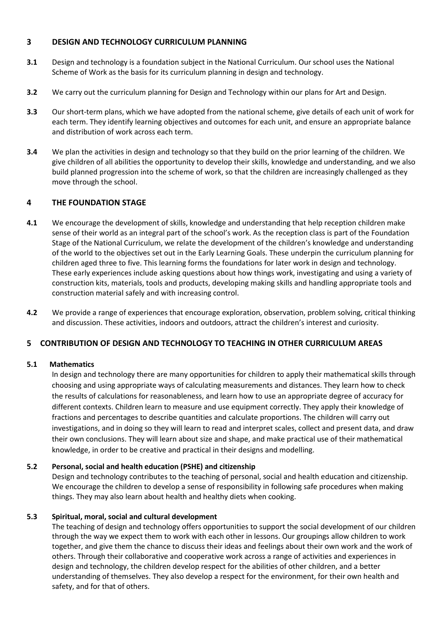## **3 DESIGN AND TECHNOLOGY CURRICULUM PLANNING**

- **3.1** Design and technology is a foundation subject in the National Curriculum. Our school uses the National Scheme of Work as the basis for its curriculum planning in design and technology.
- **3.2** We carry out the curriculum planning for Design and Technology within our plans for Art and Design.
- **3.3** Our short-term plans, which we have adopted from the national scheme, give details of each unit of work for each term. They identify learning objectives and outcomes for each unit, and ensure an appropriate balance and distribution of work across each term.
- **3.4** We plan the activities in design and technology so that they build on the prior learning of the children. We give children of all abilities the opportunity to develop their skills, knowledge and understanding, and we also build planned progression into the scheme of work, so that the children are increasingly challenged as they move through the school.

## **4 THE FOUNDATION STAGE**

- **4.1** We encourage the development of skills, knowledge and understanding that help reception children make sense of their world as an integral part of the school's work. As the reception class is part of the Foundation Stage of the National Curriculum, we relate the development of the children's knowledge and understanding of the world to the objectives set out in the Early Learning Goals. These underpin the curriculum planning for children aged three to five. This learning forms the foundations for later work in design and technology. These early experiences include asking questions about how things work, investigating and using a variety of construction kits, materials, tools and products, developing making skills and handling appropriate tools and construction material safely and with increasing control.
- **4.2** We provide a range of experiences that encourage exploration, observation, problem solving, critical thinking and discussion. These activities, indoors and outdoors, attract the children's interest and curiosity.

#### **5 CONTRIBUTION OF DESIGN AND TECHNOLOGY TO TEACHING IN OTHER CURRICULUM AREAS**

#### **5.1 Mathematics**

In design and technology there are many opportunities for children to apply their mathematical skills through choosing and using appropriate ways of calculating measurements and distances. They learn how to check the results of calculations for reasonableness, and learn how to use an appropriate degree of accuracy for different contexts. Children learn to measure and use equipment correctly. They apply their knowledge of fractions and percentages to describe quantities and calculate proportions. The children will carry out investigations, and in doing so they will learn to read and interpret scales, collect and present data, and draw their own conclusions. They will learn about size and shape, and make practical use of their mathematical knowledge, in order to be creative and practical in their designs and modelling.

#### **5.2 Personal, social and health education (PSHE) and citizenship**

Design and technology contributes to the teaching of personal, social and health education and citizenship. We encourage the children to develop a sense of responsibility in following safe procedures when making things. They may also learn about health and healthy diets when cooking.

#### **5.3 Spiritual, moral, social and cultural development**

The teaching of design and technology offers opportunities to support the social development of our children through the way we expect them to work with each other in lessons. Our groupings allow children to work together, and give them the chance to discuss their ideas and feelings about their own work and the work of others. Through their collaborative and cooperative work across a range of activities and experiences in design and technology, the children develop respect for the abilities of other children, and a better understanding of themselves. They also develop a respect for the environment, for their own health and safety, and for that of others.